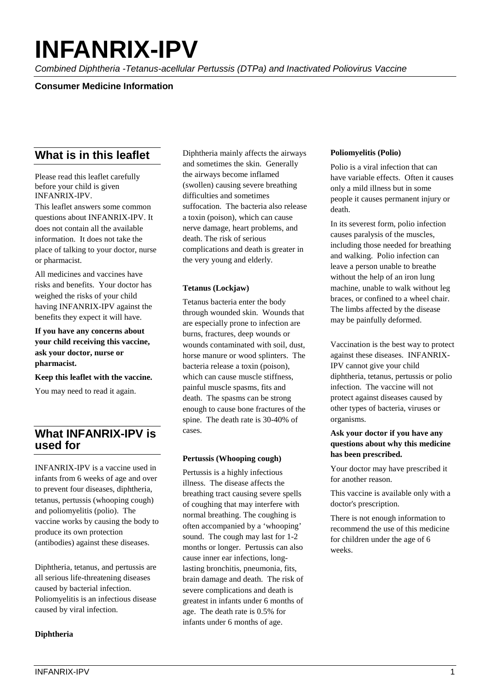# **INFANRIX-IPV**

*Combined Diphtheria -Tetanus-acellular Pertussis (DTPa) and Inactivated Poliovirus Vaccine*

## **Consumer Medicine Information**

# **What is in this leaflet**

Please read this leaflet carefully before your child is given INFANRIX-IPV.

This leaflet answers some common questions about INFANRIX-IPV. It does not contain all the available information. It does not take the place of talking to your doctor, nurse or pharmacist.

All medicines and vaccines have risks and benefits. Your doctor has weighed the risks of your child having INFANRIX-IPV against the benefits they expect it will have.

**If you have any concerns about your child receiving this vaccine, ask your doctor, nurse or pharmacist.**

**Keep this leaflet with the vaccine.** 

You may need to read it again.

# **What INFANRIX-IPV is used for**

INFANRIX-IPV is a vaccine used in infants from 6 weeks of age and over to prevent four diseases, diphtheria, tetanus, pertussis (whooping cough) and poliomyelitis (polio). The vaccine works by causing the body to produce its own protection (antibodies) against these diseases.

Diphtheria, tetanus, and pertussis are all serious life-threatening diseases caused by bacterial infection. Poliomyelitis is an infectious disease caused by viral infection.

#### **Diphtheria**

Diphtheria mainly affects the airways and sometimes the skin. Generally the airways become inflamed (swollen) causing severe breathing difficulties and sometimes suffocation. The bacteria also release a toxin (poison), which can cause nerve damage, heart problems, and death. The risk of serious complications and death is greater in the very young and elderly.

#### **Tetanus (Lockjaw)**

Tetanus bacteria enter the body through wounded skin. Wounds that are especially prone to infection are burns, fractures, deep wounds or wounds contaminated with soil, dust, horse manure or wood splinters. The bacteria release a toxin (poison), which can cause muscle stiffness, painful muscle spasms, fits and death. The spasms can be strong enough to cause bone fractures of the spine. The death rate is 30-40% of cases.

#### **Pertussis (Whooping cough)**

Pertussis is a highly infectious illness. The disease affects the breathing tract causing severe spells of coughing that may interfere with normal breathing. The coughing is often accompanied by a 'whooping' sound. The cough may last for 1-2 months or longer. Pertussis can also cause inner ear infections, longlasting bronchitis, pneumonia, fits, brain damage and death. The risk of severe complications and death is greatest in infants under 6 months of age. The death rate is 0.5% for infants under 6 months of age.

#### **Poliomyelitis (Polio)**

Polio is a viral infection that can have variable effects. Often it causes only a mild illness but in some people it causes permanent injury or death.

In its severest form, polio infection causes paralysis of the muscles, including those needed for breathing and walking. Polio infection can leave a person unable to breathe without the help of an iron lung machine, unable to walk without leg braces, or confined to a wheel chair. The limbs affected by the disease may be painfully deformed.

Vaccination is the best way to protect against these diseases. INFANRIX-IPV cannot give your child diphtheria, tetanus, pertussis or polio infection. The vaccine will not protect against diseases caused by other types of bacteria, viruses or organisms.

#### **Ask your doctor if you have any questions about why this medicine has been prescribed.**

Your doctor may have prescribed it for another reason.

This vaccine is available only with a doctor's prescription.

There is not enough information to recommend the use of this medicine for children under the age of 6 weeks.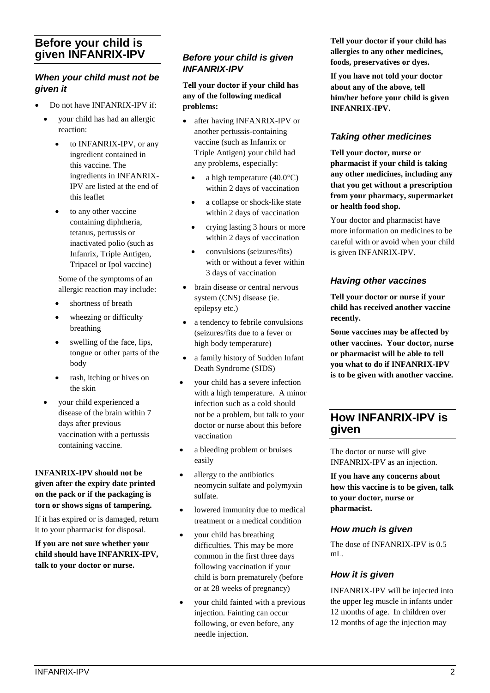# **Before your child is given INFANRIX-IPV**

## *When your child must not be given it*

- Do not have INFANRIX-IPV if:
	- your child has had an allergic reaction:
		- to INFANRIX-IPV, or any ingredient contained in this vaccine. The ingredients in INFANRIX-IPV are listed at the end of this leaflet
		- to any other vaccine containing diphtheria, tetanus, pertussis or inactivated polio (such as Infanrix, Triple Antigen, Tripacel or Ipol vaccine)

Some of the symptoms of an allergic reaction may include:

- shortness of breath
- wheezing or difficulty breathing
- swelling of the face, lips, tongue or other parts of the body
- rash, itching or hives on the skin
- your child experienced a disease of the brain within 7 days after previous vaccination with a pertussis containing vaccine.

#### **INFANRIX-IPV should not be given after the expiry date printed on the pack or if the packaging is torn or shows signs of tampering.**

If it has expired or is damaged, return it to your pharmacist for disposal.

**If you are not sure whether your child should have INFANRIX-IPV, talk to your doctor or nurse.** 

## *Before your child is given INFANRIX-IPV*

**Tell your doctor if your child has any of the following medical problems:**

- after having INFANRIX-IPV or another pertussis-containing vaccine (such as Infanrix or Triple Antigen) your child had any problems, especially:
	- a high temperature  $(40.0^{\circ}C)$ within 2 days of vaccination
	- a collapse or shock-like state within 2 days of vaccination
	- crying lasting 3 hours or more within 2 days of vaccination
	- convulsions (seizures/fits) with or without a fever within 3 days of vaccination
- brain disease or central nervous system (CNS) disease (ie. epilepsy etc.)
- a tendency to febrile convulsions (seizures/fits due to a fever or high body temperature)
- a family history of Sudden Infant Death Syndrome (SIDS)
- your child has a severe infection with a high temperature. A minor infection such as a cold should not be a problem, but talk to your doctor or nurse about this before vaccination
- a bleeding problem or bruises easily
- allergy to the antibiotics neomycin sulfate and polymyxin sulfate.
- lowered immunity due to medical treatment or a medical condition
- your child has breathing difficulties. This may be more common in the first three days following vaccination if your child is born prematurely (before or at 28 weeks of pregnancy)
- your child fainted with a previous injection. Fainting can occur following, or even before, any needle injection.

**Tell your doctor if your child has allergies to any other medicines, foods, preservatives or dyes.** 

**If you have not told your doctor about any of the above, tell him/her before your child is given INFANRIX-IPV.** 

## *Taking other medicines*

**Tell your doctor, nurse or pharmacist if your child is taking any other medicines, including any that you get without a prescription from your pharmacy, supermarket or health food shop.** 

Your doctor and pharmacist have more information on medicines to be careful with or avoid when your child is given INFANRIX-IPV.

## *Having other vaccines*

**Tell your doctor or nurse if your child has received another vaccine recently.**

**Some vaccines may be affected by other vaccines. Your doctor, nurse or pharmacist will be able to tell you what to do if INFANRIX-IPV is to be given with another vaccine.**

# **How INFANRIX-IPV is given**

The doctor or nurse will give INFANRIX-IPV as an injection.

**If you have any concerns about how this vaccine is to be given, talk to your doctor, nurse or pharmacist.**

## *How much is given*

The dose of INFANRIX-IPV is 0.5 mL.

## *How it is given*

INFANRIX-IPV will be injected into the upper leg muscle in infants under 12 months of age. In children over 12 months of age the injection may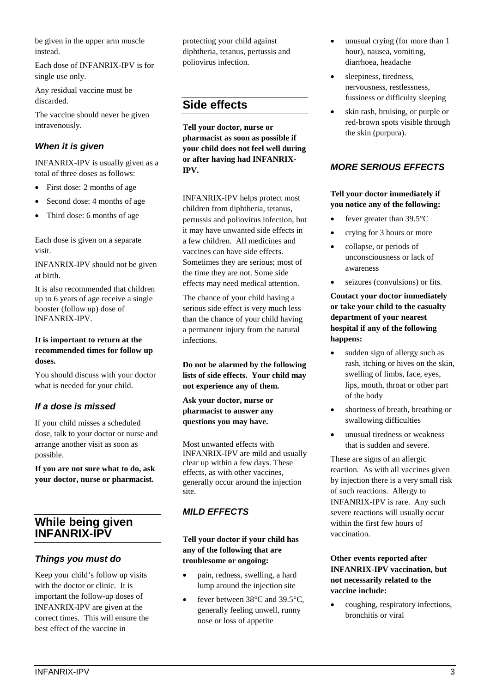be given in the upper arm muscle instead.

Each dose of INFANRIX-IPV is for single use only.

Any residual vaccine must be discarded.

The vaccine should never be given intravenously.

## *When it is given*

INFANRIX-IPV is usually given as a total of three doses as follows:

- First dose: 2 months of age
- Second dose: 4 months of age
- Third dose: 6 months of age

Each dose is given on a separate visit.

INFANRIX-IPV should not be given at birth.

It is also recommended that children up to 6 years of age receive a single booster (follow up) dose of INFANRIX-IPV.

#### **It is important to return at the recommended times for follow up doses.**

You should discuss with your doctor what is needed for your child.

## *If a dose is missed*

If your child misses a scheduled dose, talk to your doctor or nurse and arrange another visit as soon as possible.

**If you are not sure what to do, ask your doctor, nurse or pharmacist.** 

# **While being given INFANRIX-IPV**

## *Things you must do*

Keep your child's follow up visits with the doctor or clinic. It is important the follow-up doses of INFANRIX-IPV are given at the correct times. This will ensure the best effect of the vaccine in

protecting your child against diphtheria, tetanus, pertussis and poliovirus infection.

# **Side effects**

**Tell your doctor, nurse or pharmacist as soon as possible if your child does not feel well during or after having had INFANRIX-IPV.**

INFANRIX-IPV helps protect most children from diphtheria, tetanus, pertussis and poliovirus infection, but it may have unwanted side effects in a few children. All medicines and vaccines can have side effects. Sometimes they are serious; most of the time they are not. Some side effects may need medical attention.

The chance of your child having a serious side effect is very much less than the chance of your child having a permanent injury from the natural infections.

**Do not be alarmed by the following lists of side effects. Your child may not experience any of them.** 

**Ask your doctor, nurse or pharmacist to answer any questions you may have.**

Most unwanted effects with INFANRIX-IPV are mild and usually clear up within a few days. These effects, as with other vaccines, generally occur around the injection site.

## *MILD EFFECTS*

**Tell your doctor if your child has any of the following that are troublesome or ongoing:**

- pain, redness, swelling, a hard lump around the injection site
- fever between 38°C and 39.5°C, generally feeling unwell, runny nose or loss of appetite
- unusual crying (for more than 1 hour), nausea, vomiting, diarrhoea, headache
- sleepiness, tiredness, nervousness, restlessness, fussiness or difficulty sleeping
- skin rash, bruising, or purple or red-brown spots visible through the skin (purpura).

## *MORE SERIOUS EFFECTS*

#### **Tell your doctor immediately if you notice any of the following:**

- fever greater than  $39.5^{\circ}$ C
- crying for 3 hours or more
- collapse, or periods of unconsciousness or lack of awareness
- seizures (convulsions) or fits.

**Contact your doctor immediately or take your child to the casualty department of your nearest hospital if any of the following happens:**

- sudden sign of allergy such as rash, itching or hives on the skin, swelling of limbs, face, eyes, lips, mouth, throat or other part of the body
- shortness of breath, breathing or swallowing difficulties
- unusual tiredness or weakness that is sudden and severe.

These are signs of an allergic reaction. As with all vaccines given by injection there is a very small risk of such reactions. Allergy to INFANRIX-IPV is rare. Any such severe reactions will usually occur within the first few hours of vaccination.

## **Other events reported after INFANRIX-IPV vaccination, but not necessarily related to the vaccine include:**

• coughing, respiratory infections, bronchitis or viral